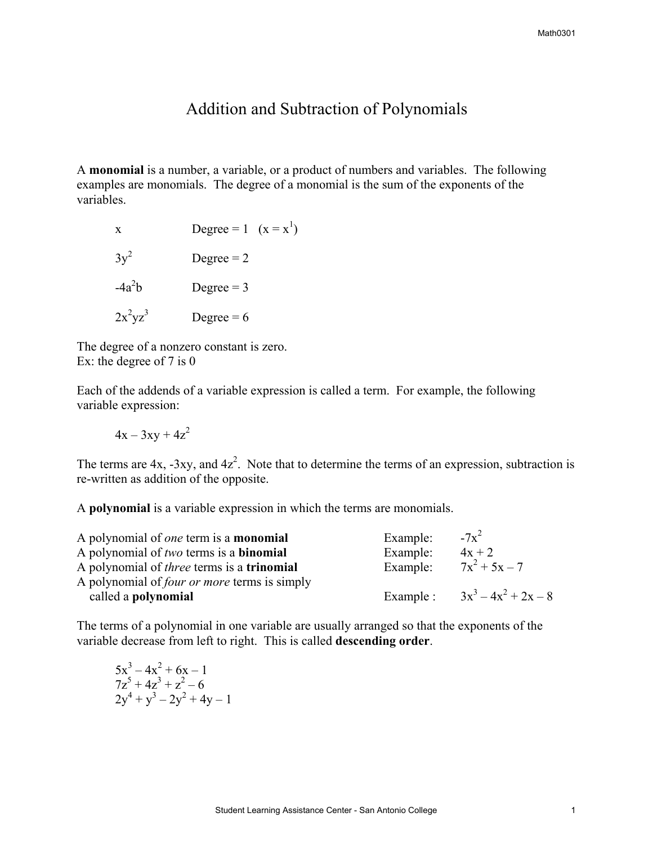## Addition and Subtraction of Polynomials

A **monomial** is a number, a variable, or a product of numbers and variables. The following examples are monomials. The degree of a monomial is the sum of the exponents of the variables.

| X          | Degree = 1 $(x = x^1)$ |
|------------|------------------------|
| $3y^2$     | Degree $= 2$           |
| $-4a^2b$   | Degree $=$ 3           |
| $2x^2yz^3$ | Degree $= 6$           |

The degree of a nonzero constant is zero. Ex: the degree of 7 is 0

Each of the addends of a variable expression is called a term. For example, the following variable expression:

 $4x - 3xy + 4z^2$ 

The terms are  $4x$ ,  $-3xy$ , and  $4z<sup>2</sup>$ . Note that to determine the terms of an expression, subtraction is re-written as addition of the opposite.

A **polynomial** is a variable expression in which the terms are monomials.

| A polynomial of <i>one</i> term is a <b>monomial</b>     | Example: | $-7x^2$                         |
|----------------------------------------------------------|----------|---------------------------------|
| A polynomial of two terms is a <b>binomial</b>           | Example: | $4x + 2$                        |
| A polynomial of <i>three</i> terms is a <b>trinomial</b> | Example: | $7x^2 + 5x - 7$                 |
| A polynomial of <i>four or more</i> terms is simply      |          |                                 |
| called a polynomial                                      |          | Example: $3x^3 - 4x^2 + 2x - 8$ |

The terms of a polynomial in one variable are usually arranged so that the exponents of the variable decrease from left to right. This is called **descending order**.

$$
5x3-4x2 + 6x - 17z5 + 4z3 + z2 - 62y4 + y3 - 2y2 + 4y - 1
$$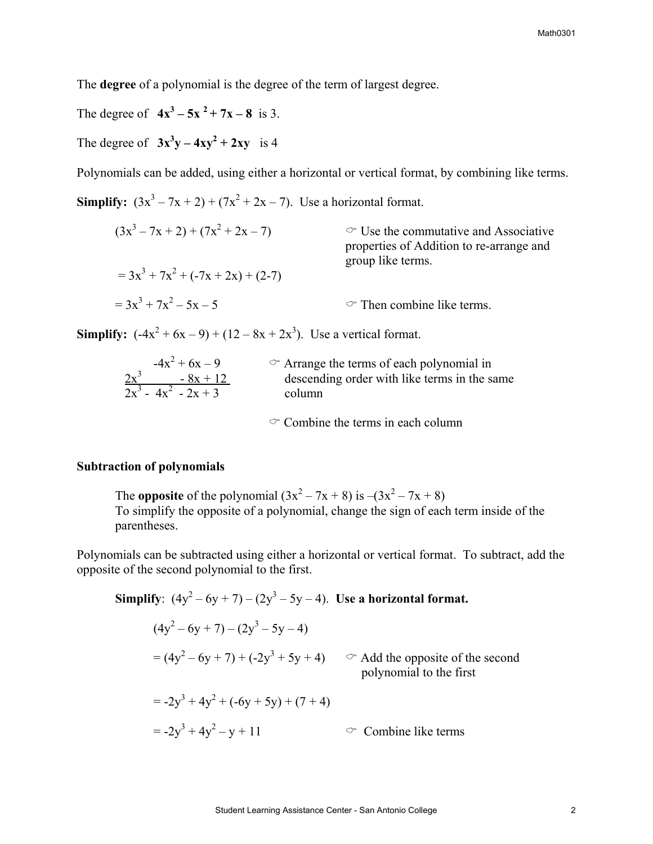The **degree** of a polynomial is the degree of the term of largest degree.

The degree of  $4x^3 - 5x^2 + 7x - 8$  is 3.

The degree of  $3x^3y - 4xy^2 + 2xy$  is 4

Polynomials can be added, using either a horizontal or vertical format, by combining like terms.

**Simplify:**  $(3x^3 - 7x + 2) + (7x^2 + 2x - 7)$ . Use a horizontal format.

$$
(3x3 - 7x + 2) + (7x2 + 2x - 7)
$$
  
\n
$$
= 3x3 + 7x2 + (-7x + 2x) + (2-7)
$$
  
\n
$$
= 3x3 + 7x2 - 5x - 5
$$
  
\n
$$
= 3x3 + 7x2 - 5x - 5
$$
  
\n
$$
= 3x3 + 7x2 - 5x - 5
$$
  
\n
$$
= 3x3 + 7x2 - 5x - 5
$$
  
\n
$$
= 3x3 + 7x2 - 5x - 5
$$
  
\n
$$
= 3x3 + 7x2 - 5x - 5
$$
  
\n
$$
= 3x3 + 7x2 - 5x - 5
$$

**Simplify:**  $(-4x^2 + 6x - 9) + (12 - 8x + 2x^3)$ . Use a vertical format.

| $-4x^2 + 6x - 9$       | $\circ$ Arrange the terms of each polynomial in |
|------------------------|-------------------------------------------------|
| $2x^3$<br>$-8x + 12$   | descending order with like terms in the same    |
| $2x^3 - 4x^2 - 2x + 3$ | column                                          |

 $\circ$  Combine the terms in each column

## **Subtraction of polynomials**

The **opposite** of the polynomial  $(3x^2 - 7x + 8)$  is  $-(3x^2 - 7x + 8)$ To simplify the opposite of a polynomial, change the sign of each term inside of the parentheses.

Polynomials can be subtracted using either a horizontal or vertical format. To subtract, add the opposite of the second polynomial to the first.

Simplify: 
$$
(4y^2 - 6y + 7) - (2y^3 - 5y - 4)
$$
. Use a horizontal format.  
\n
$$
(4y^2 - 6y + 7) - (2y^3 - 5y - 4)
$$
\n
$$
= (4y^2 - 6y + 7) + (-2y^3 + 5y + 4) \qquad \text{and the opposite of the second polynomial to the first}
$$
\n
$$
= -2y^3 + 4y^2 + (-6y + 5y) + (7 + 4)
$$
\n
$$
= -2y^3 + 4y^2 - y + 11 \qquad \text{or Combine like terms}
$$